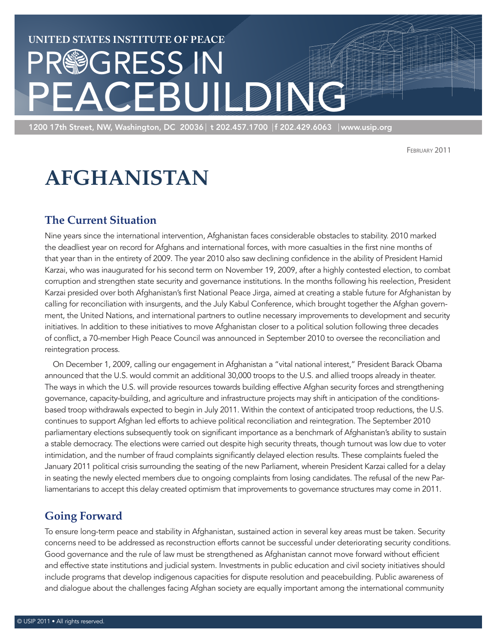# **United States Institute of Peace** PR®GRESS IN<br>PFACFRIJI **PEACEBUILDING**

1200 17th Street, NW, Washington, DC 20036 | t 202.457.1700 |f 202.429.6063 | www.usip.org

February 2011

## **Afghanistan**

## **The Current Situation**

Nine years since the international intervention, Afghanistan faces considerable obstacles to stability. 2010 marked the deadliest year on record for Afghans and international forces, with more casualties in the first nine months of that year than in the entirety of 2009. The year 2010 also saw declining confidence in the ability of President Hamid Karzai, who was inaugurated for his second term on November 19, 2009, after a highly contested election, to combat corruption and strengthen state security and governance institutions. In the months following his reelection, President Karzai presided over both Afghanistan's first National Peace Jirga, aimed at creating a stable future for Afghanistan by calling for reconciliation with insurgents, and the July Kabul Conference, which brought together the Afghan government, the United Nations, and international partners to outline necessary improvements to development and security initiatives. In addition to these initiatives to move Afghanistan closer to a political solution following three decades of conflict, a 70-member High Peace Council was announced in September 2010 to oversee the reconciliation and reintegration process.

On December 1, 2009, calling our engagement in Afghanistan a "vital national interest," President Barack Obama announced that the U.S. would commit an additional 30,000 troops to the U.S. and allied troops already in theater. The ways in which the U.S. will provide resources towards building effective Afghan security forces and strengthening governance, capacity-building, and agriculture and infrastructure projects may shift in anticipation of the conditionsbased troop withdrawals expected to begin in July 2011. Within the context of anticipated troop reductions, the U.S. continues to support Afghan led efforts to achieve political reconciliation and reintegration. The September 2010 parliamentary elections subsequently took on significant importance as a benchmark of Afghanistan's ability to sustain a stable democracy. The elections were carried out despite high security threats, though turnout was low due to voter intimidation, and the number of fraud complaints significantly delayed election results. These complaints fueled the January 2011 political crisis surrounding the seating of the new Parliament, wherein President Karzai called for a delay in seating the newly elected members due to ongoing complaints from losing candidates. The refusal of the new Parliamentarians to accept this delay created optimism that improvements to governance structures may come in 2011.

## **Going Forward**

To ensure long-term peace and stability in Afghanistan, sustained action in several key areas must be taken. Security concerns need to be addressed as reconstruction efforts cannot be successful under deteriorating security conditions. Good governance and the rule of law must be strengthened as Afghanistan cannot move forward without efficient and effective state institutions and judicial system. Investments in public education and civil society initiatives should include programs that develop indigenous capacities for dispute resolution and peacebuilding. Public awareness of and dialogue about the challenges facing Afghan society are equally important among the international community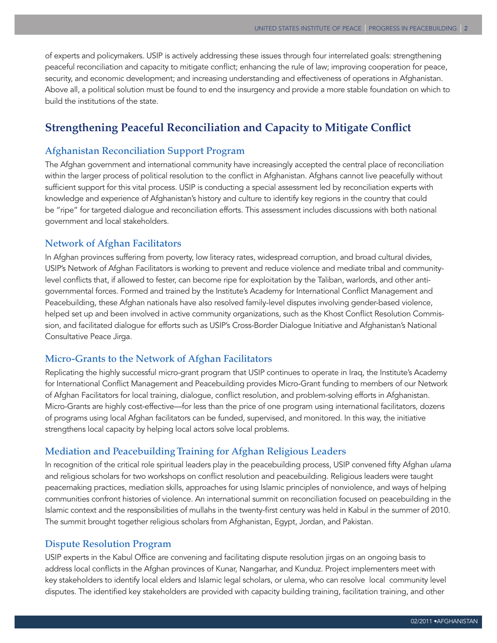of experts and policymakers. USIP is actively addressing these issues through four interrelated goals: strengthening peaceful reconciliation and capacity to mitigate conflict; enhancing the rule of law; improving cooperation for peace, security, and economic development; and increasing understanding and effectiveness of operations in Afghanistan. Above all, a political solution must be found to end the insurgency and provide a more stable foundation on which to build the institutions of the state.

## **Strengthening Peaceful Reconciliation and Capacity to Mitigate Conflict**

#### Afghanistan Reconciliation Support Program

The Afghan government and international community have increasingly accepted the central place of reconciliation within the larger process of political resolution to the conflict in Afghanistan. Afghans cannot live peacefully without sufficient support for this vital process. USIP is conducting a special assessment led by reconciliation experts with knowledge and experience of Afghanistan's history and culture to identify key regions in the country that could be "ripe" for targeted dialogue and reconciliation efforts. This assessment includes discussions with both national government and local stakeholders.

#### Network of Afghan Facilitators

In Afghan provinces suffering from poverty, low literacy rates, widespread corruption, and broad cultural divides, USIP's Network of Afghan Facilitators is working to prevent and reduce violence and mediate tribal and communitylevel conflicts that, if allowed to fester, can become ripe for exploitation by the Taliban, warlords, and other antigovernmental forces. Formed and trained by the Institute's Academy for International Conflict Management and Peacebuilding, these Afghan nationals have also resolved family-level disputes involving gender-based violence, helped set up and been involved in active community organizations, such as the Khost Conflict Resolution Commission, and facilitated dialogue for efforts such as USIP's Cross-Border Dialogue Initiative and Afghanistan's National Consultative Peace Jirga.

#### Micro-Grants to the Network of Afghan Facilitators

Replicating the highly successful micro-grant program that USIP continues to operate in Iraq, the Institute's Academy for International Conflict Management and Peacebuilding provides Micro-Grant funding to members of our Network of Afghan Facilitators for local training, dialogue, conflict resolution, and problem-solving efforts in Afghanistan. Micro-Grants are highly cost-effective—for less than the price of one program using international facilitators, dozens of programs using local Afghan facilitators can be funded, supervised, and monitored. In this way, the initiative strengthens local capacity by helping local actors solve local problems.

#### Mediation and Peacebuilding Training for Afghan Religious Leaders

In recognition of the critical role spiritual leaders play in the peacebuilding process, USIP convened fifty Afghan *ulama* and religious scholars for two workshops on conflict resolution and peacebuilding. Religious leaders were taught peacemaking practices, mediation skills, approaches for using Islamic principles of nonviolence, and ways of helping communities confront histories of violence. An international summit on reconciliation focused on peacebuilding in the Islamic context and the responsibilities of mullahs in the twenty-first century was held in Kabul in the summer of 2010. The summit brought together religious scholars from Afghanistan, Egypt, Jordan, and Pakistan.

#### Dispute Resolution Program

USIP experts in the Kabul Office are convening and facilitating dispute resolution jirgas on an ongoing basis to address local conflicts in the Afghan provinces of Kunar, Nangarhar, and Kunduz. Project implementers meet with key stakeholders to identify local elders and Islamic legal scholars, or ulema, who can resolve local community level disputes. The identified key stakeholders are provided with capacity building training, facilitation training, and other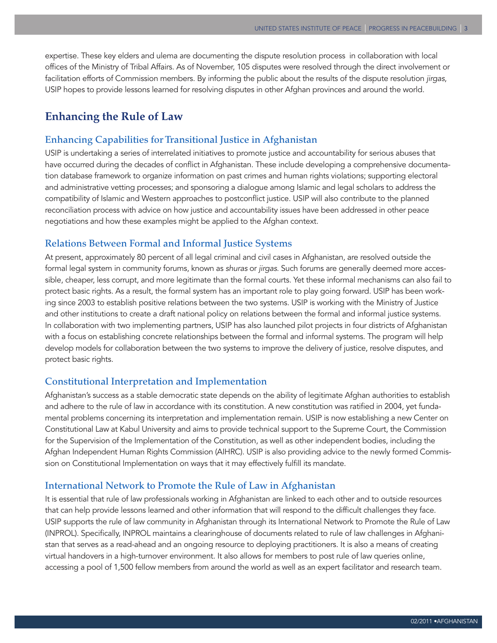expertise. These key elders and ulema are documenting the dispute resolution process in collaboration with local offices of the Ministry of Tribal Affairs. As of November, 105 disputes were resolved through the direct involvement or facilitation efforts of Commission members. By informing the public about the results of the dispute resolution *jirgas*, USIP hopes to provide lessons learned for resolving disputes in other Afghan provinces and around the world.

#### **Enhancing the Rule of Law**

#### Enhancing Capabilities for Transitional Justice in Afghanistan

USIP is undertaking a series of interrelated initiatives to promote justice and accountability for serious abuses that have occurred during the decades of conflict in Afghanistan. These include developing a comprehensive documentation database framework to organize information on past crimes and human rights violations; supporting electoral and administrative vetting processes; and sponsoring a dialogue among Islamic and legal scholars to address the compatibility of Islamic and Western approaches to postconflict justice. USIP will also contribute to the planned reconciliation process with advice on how justice and accountability issues have been addressed in other peace negotiations and how these examples might be applied to the Afghan context.

#### Relations Between Formal and Informal Justice Systems

At present, approximately 80 percent of all legal criminal and civil cases in Afghanistan, are resolved outside the formal legal system in community forums, known as *shuras* or *jirgas*. Such forums are generally deemed more accessible, cheaper, less corrupt, and more legitimate than the formal courts. Yet these informal mechanisms can also fail to protect basic rights. As a result, the formal system has an important role to play going forward. USIP has been working since 2003 to establish positive relations between the two systems. USIP is working with the Ministry of Justice and other institutions to create a draft national policy on relations between the formal and informal justice systems. In collaboration with two implementing partners, USIP has also launched pilot projects in four districts of Afghanistan with a focus on establishing concrete relationships between the formal and informal systems. The program will help develop models for collaboration between the two systems to improve the delivery of justice, resolve disputes, and protect basic rights.

#### Constitutional Interpretation and Implementation

Afghanistan's success as a stable democratic state depends on the ability of legitimate Afghan authorities to establish and adhere to the rule of law in accordance with its constitution. A new constitution was ratified in 2004, yet fundamental problems concerning its interpretation and implementation remain. USIP is now establishing a new Center on Constitutional Law at Kabul University and aims to provide technical support to the Supreme Court, the Commission for the Supervision of the Implementation of the Constitution, as well as other independent bodies, including the Afghan Independent Human Rights Commission (AIHRC). USIP is also providing advice to the newly formed Commission on Constitutional Implementation on ways that it may effectively fulfill its mandate.

#### International Network to Promote the Rule of Law in Afghanistan

It is essential that rule of law professionals working in Afghanistan are linked to each other and to outside resources that can help provide lessons learned and other information that will respond to the difficult challenges they face. USIP supports the rule of law community in Afghanistan through its International Network to Promote the Rule of Law (INPROL). Specifically, INPROL maintains a clearinghouse of documents related to rule of law challenges in Afghanistan that serves as a read-ahead and an ongoing resource to deploying practitioners. It is also a means of creating virtual handovers in a high-turnover environment. It also allows for members to post rule of law queries online, accessing a pool of 1,500 fellow members from around the world as well as an expert facilitator and research team.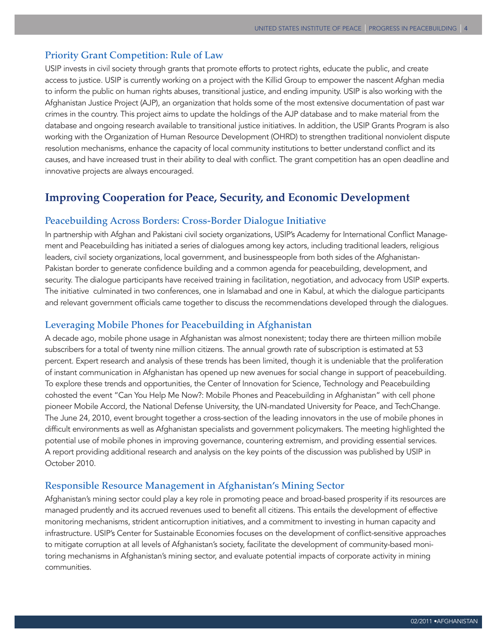#### Priority Grant Competition: Rule of Law

USIP invests in civil society through grants that promote efforts to protect rights, educate the public, and create access to justice. USIP is currently working on a project with the Killid Group to empower the nascent Afghan media to inform the public on human rights abuses, transitional justice, and ending impunity. USIP is also working with the Afghanistan Justice Project (AJP), an organization that holds some of the most extensive documentation of past war crimes in the country. This project aims to update the holdings of the AJP database and to make material from the database and ongoing research available to transitional justice initiatives. In addition, the USIP Grants Program is also working with the Organization of Human Resource Development (OHRD) to strengthen traditional nonviolent dispute resolution mechanisms, enhance the capacity of local community institutions to better understand conflict and its causes, and have increased trust in their ability to deal with conflict. The grant competition has an open deadline and innovative projects are always encouraged.

### **Improving Cooperation for Peace, Security, and Economic Development**

#### Peacebuilding Across Borders: Cross-Border Dialogue Initiative

In partnership with Afghan and Pakistani civil society organizations, USIP's Academy for International Conflict Management and Peacebuilding has initiated a series of dialogues among key actors, including traditional leaders, religious leaders, civil society organizations, local government, and businesspeople from both sides of the Afghanistan-Pakistan border to generate confidence building and a common agenda for peacebuilding, development, and security. The dialogue participants have received training in facilitation, negotiation, and advocacy from USIP experts. The initiative culminated in two conferences, one in Islamabad and one in Kabul, at which the dialogue participants and relevant government officials came together to discuss the recommendations developed through the dialogues.

#### Leveraging Mobile Phones for Peacebuilding in Afghanistan

A decade ago, mobile phone usage in Afghanistan was almost nonexistent; today there are thirteen million mobile subscribers for a total of twenty nine million citizens. The annual growth rate of subscription is estimated at 53 percent. Expert research and analysis of these trends has been limited, though it is undeniable that the proliferation of instant communication in Afghanistan has opened up new avenues for social change in support of peacebuilding. To explore these trends and opportunities, the Center of Innovation for Science, Technology and Peacebuilding cohosted the event "Can You Help Me Now?: Mobile Phones and Peacebuilding in Afghanistan" with cell phone pioneer Mobile Accord, the National Defense University, the UN-mandated University for Peace, and TechChange. The June 24, 2010, event brought together a cross-section of the leading innovators in the use of mobile phones in difficult environments as well as Afghanistan specialists and government policymakers. The meeting highlighted the potential use of mobile phones in improving governance, countering extremism, and providing essential services. A report providing additional research and analysis on the key points of the discussion was published by USIP in October 2010.

#### Responsible Resource Management in Afghanistan's Mining Sector

Afghanistan's mining sector could play a key role in promoting peace and broad-based prosperity if its resources are managed prudently and its accrued revenues used to benefit all citizens. This entails the development of effective monitoring mechanisms, strident anticorruption initiatives, and a commitment to investing in human capacity and infrastructure. USIP's Center for Sustainable Economies focuses on the development of conflict-sensitive approaches to mitigate corruption at all levels of Afghanistan's society, facilitate the development of community-based monitoring mechanisms in Afghanistan's mining sector, and evaluate potential impacts of corporate activity in mining communities.